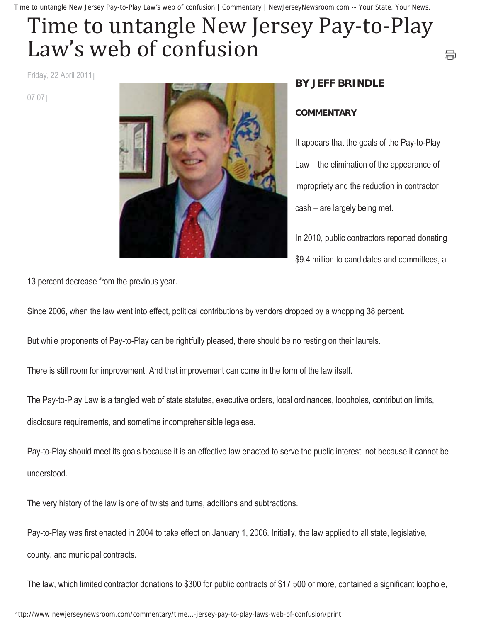Time to untangle New Jersey Pay-to-Play Law's web of confusion | Commentary | NewJerseyNewsroom.com -- Your State. Your News.

## Time to untangle New Jersey Pay-to-Play Law's web of confusion

Friday, 22 April 2011

07:07



## **BY JEFF BRINDLE**

## **COMMENTARY**

It appears that the goals of the Pay-to-Play Law – the elimination of the appearance of impropriety and the reduction in contractor cash – are largely being met.

⇔

In 2010, public contractors reported donating \$9.4 million to candidates and committees, a

13 percent decrease from the previous year.

Since 2006, when the law went into effect, political contributions by vendors dropped by a whopping 38 percent.

But while proponents of Pay-to-Play can be rightfully pleased, there should be no resting on their laurels.

There is still room for improvement. And that improvement can come in the form of the law itself.

The Pay-to-Play Law is a tangled web of state statutes, executive orders, local ordinances, loopholes, contribution limits,

disclosure requirements, and sometime incomprehensible legalese.

Pay-to-Play should meet its goals because it is an effective law enacted to serve the public interest, not because it cannot be understood.

The very history of the law is one of twists and turns, additions and subtractions.

Pay-to-Play was first enacted in 2004 to take effect on January 1, 2006. Initially, the law applied to all state, legislative, county, and municipal contracts.

The law, which limited contractor donations to \$300 for public contracts of \$17,500 or more, contained a significant loophole,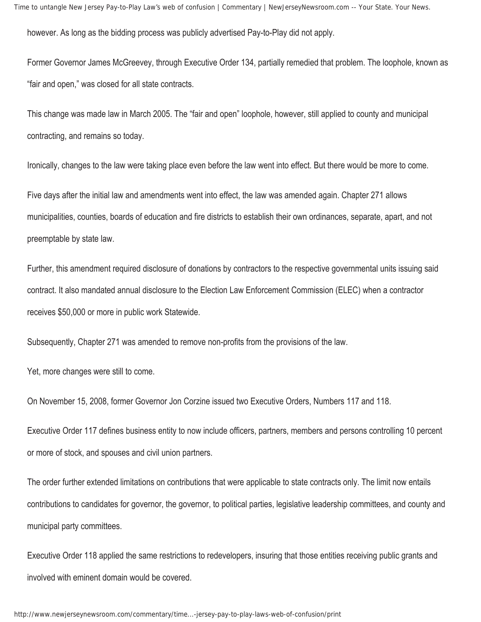however. As long as the bidding process was publicly advertised Pay-to-Play did not apply.

Former Governor James McGreevey, through Executive Order 134, partially remedied that problem. The loophole, known as "fair and open," was closed for all state contracts.

This change was made law in March 2005. The "fair and open" loophole, however, still applied to county and municipal contracting, and remains so today.

Ironically, changes to the law were taking place even before the law went into effect. But there would be more to come.

Five days after the initial law and amendments went into effect, the law was amended again. Chapter 271 allows municipalities, counties, boards of education and fire districts to establish their own ordinances, separate, apart, and not preemptable by state law.

Further, this amendment required disclosure of donations by contractors to the respective governmental units issuing said contract. It also mandated annual disclosure to the Election Law Enforcement Commission (ELEC) when a contractor receives \$50,000 or more in public work Statewide.

Subsequently, Chapter 271 was amended to remove non-profits from the provisions of the law.

Yet, more changes were still to come.

On November 15, 2008, former Governor Jon Corzine issued two Executive Orders, Numbers 117 and 118.

Executive Order 117 defines business entity to now include officers, partners, members and persons controlling 10 percent or more of stock, and spouses and civil union partners.

The order further extended limitations on contributions that were applicable to state contracts only. The limit now entails contributions to candidates for governor, the governor, to political parties, legislative leadership committees, and county and municipal party committees.

Executive Order 118 applied the same restrictions to redevelopers, insuring that those entities receiving public grants and involved with eminent domain would be covered.